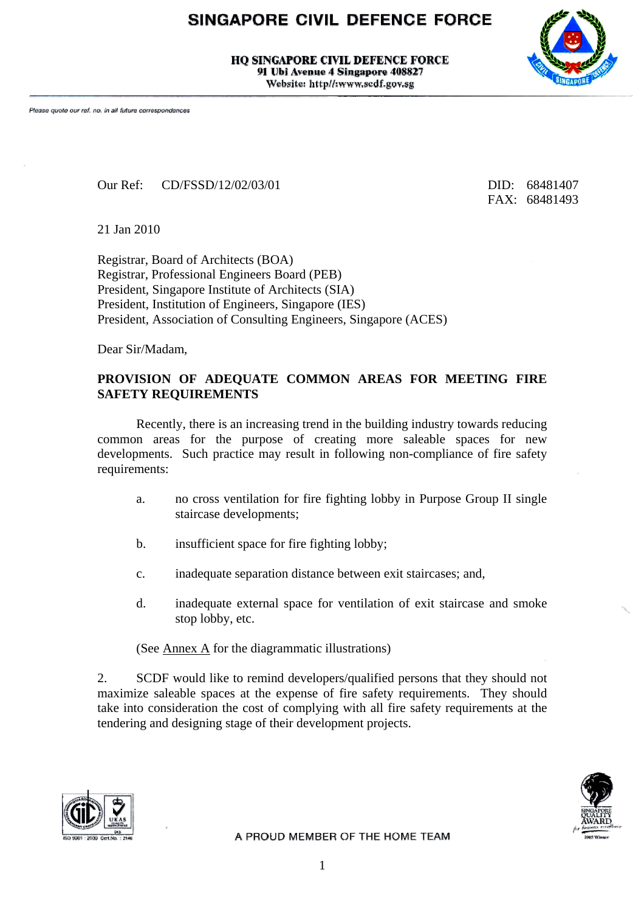## SINGAPORE CIVIL DEFENCE FORCE

**HO SINGAPORE CIVIL DEFENCE FORCE** 91 Ubi Avenue 4 Singapore 408827 Website: http//:www.scdf.gov.sg



Our Ref: CD/FSSD/12/02/03/01 DID: 68481407

FAX: 68481493

21 Jan 2010

Registrar, Board of Architects (BOA) Registrar, Professional Engineers Board (PEB) President, Singapore Institute of Architects (SIA) President, Institution of Engineers, Singapore (IES) President, Association of Consulting Engineers, Singapore (ACES)

Dear Sir/Madam,

## **PROVISION OF ADEQUATE COMMON AREAS FOR MEETING FIRE SAFETY REQUIREMENTS**

 Recently, there is an increasing trend in the building industry towards reducing common areas for the purpose of creating more saleable spaces for new developments. Such practice may result in following non-compliance of fire safety requirements:

- a. no cross ventilation for fire fighting lobby in Purpose Group II single staircase developments;
- b. insufficient space for fire fighting lobby;
- c. inadequate separation distance between exit staircases; and,
- d. inadequate external space for ventilation of exit staircase and smoke stop lobby, etc.

(See Annex A for the diagrammatic illustrations)

2. SCDF would like to remind developers/qualified persons that they should not maximize saleable spaces at the expense of fire safety requirements. They should take into consideration the cost of complying with all fire safety requirements at the tendering and designing stage of their development projects.



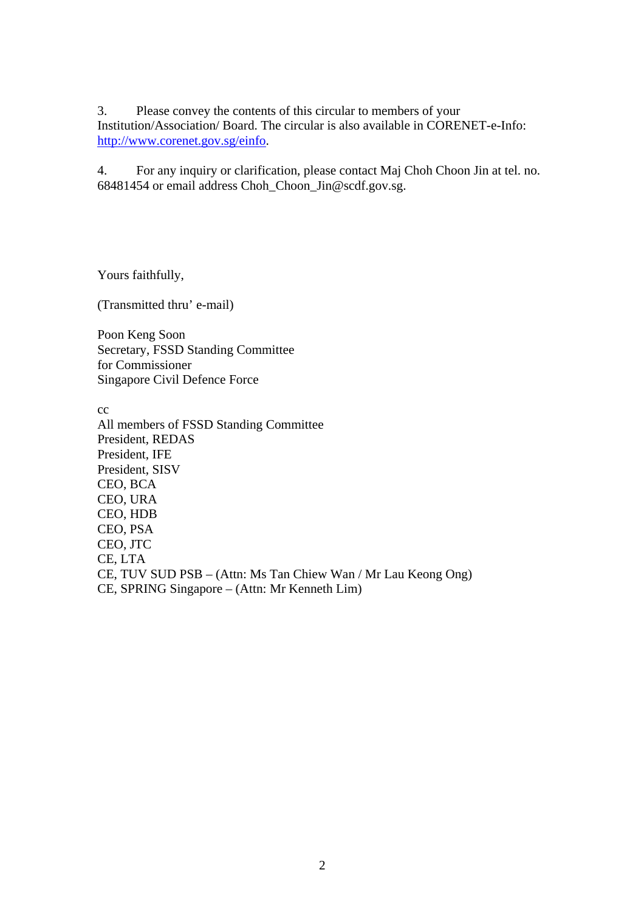3. Please convey the contents of this circular to members of your Institution/Association/ Board. The circular is also available in CORENET-e-Info: [http://www.corenet.gov.sg/einfo.](http://www.corenet.gov.sg/einfo)

4. For any inquiry or clarification, please contact Maj Choh Choon Jin at tel. no. 68481454 or email address Choh\_Choon\_Jin@scdf.gov.sg.

Yours faithfully,

(Transmitted thru' e-mail)

Poon Keng Soon Secretary, FSSD Standing Committee for Commissioner Singapore Civil Defence Force

cc

All members of FSSD Standing Committee President, REDAS President, IFE President, SISV CEO, BCA CEO, URA CEO, HDB CEO, PSA CEO, JTC CE, LTA CE, TUV SUD PSB – (Attn: Ms Tan Chiew Wan / Mr Lau Keong Ong) CE, SPRING Singapore – (Attn: Mr Kenneth Lim)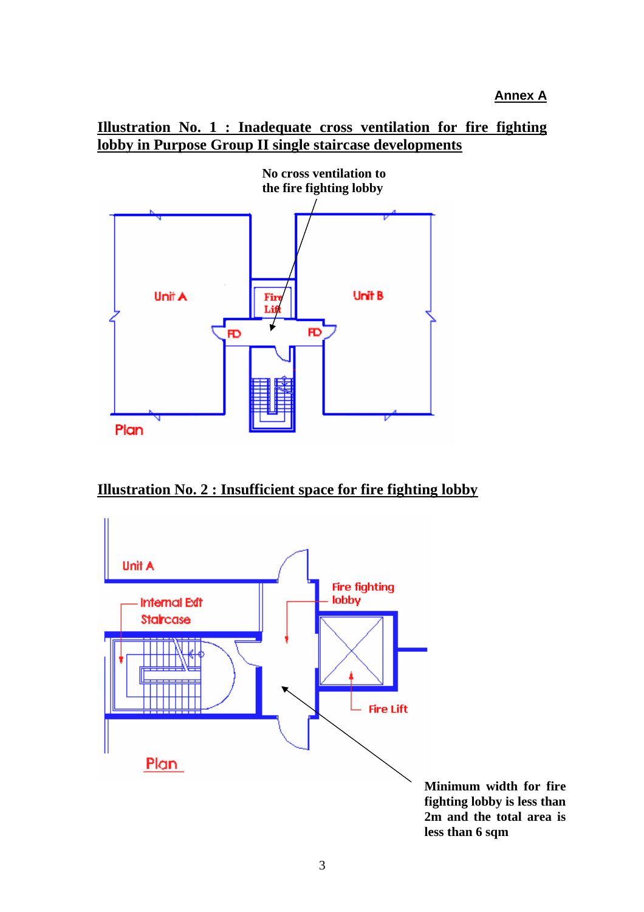**Annex A**

## **Illustration No. 1 : Inadequate cross ventilation for fire fighting lobby in Purpose Group II single staircase developments**



**Illustration No. 2 : Insufficient space for fire fighting lobby**